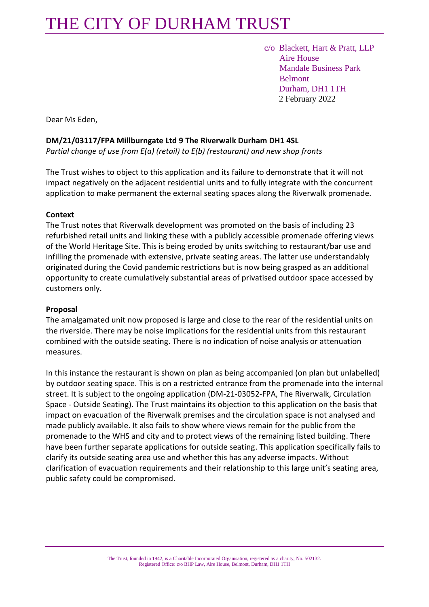# THE CITY OF DURHAM TRUST

 c/o Blackett, Hart & Pratt, LLP Aire House Mandale Business Park Belmont Durham, DH1 1TH 2 February 2022

Dear Ms Eden,

# **DM/21/03117/FPA Millburngate Ltd 9 The Riverwalk Durham DH1 4SL**

*Partial change of use from E(a) (retail) to E(b) (restaurant) and new shop fronts*

The Trust wishes to object to this application and its failure to demonstrate that it will not impact negatively on the adjacent residential units and to fully integrate with the concurrent application to make permanent the external seating spaces along the Riverwalk promenade.

# **Context**

The Trust notes that Riverwalk development was promoted on the basis of including 23 refurbished retail units and linking these with a publicly accessible promenade offering views of the World Heritage Site. This is being eroded by units switching to restaurant/bar use and infilling the promenade with extensive, private seating areas. The latter use understandably originated during the Covid pandemic restrictions but is now being grasped as an additional opportunity to create cumulatively substantial areas of privatised outdoor space accessed by customers only.

#### **Proposal**

The amalgamated unit now proposed is large and close to the rear of the residential units on the riverside. There may be noise implications for the residential units from this restaurant combined with the outside seating. There is no indication of noise analysis or attenuation measures.

In this instance the restaurant is shown on plan as being accompanied (on plan but unlabelled) by outdoor seating space. This is on a restricted entrance from the promenade into the internal street. It is subject to the ongoing application (DM-21-03052-FPA, The Riverwalk, Circulation Space - Outside Seating). The Trust maintains its objection to this application on the basis that impact on evacuation of the Riverwalk premises and the circulation space is not analysed and made publicly available. It also fails to show where views remain for the public from the promenade to the WHS and city and to protect views of the remaining listed building. There have been further separate applications for outside seating. This application specifically fails to clarify its outside seating area use and whether this has any adverse impacts. Without clarification of evacuation requirements and their relationship to this large unit's seating area, public safety could be compromised.